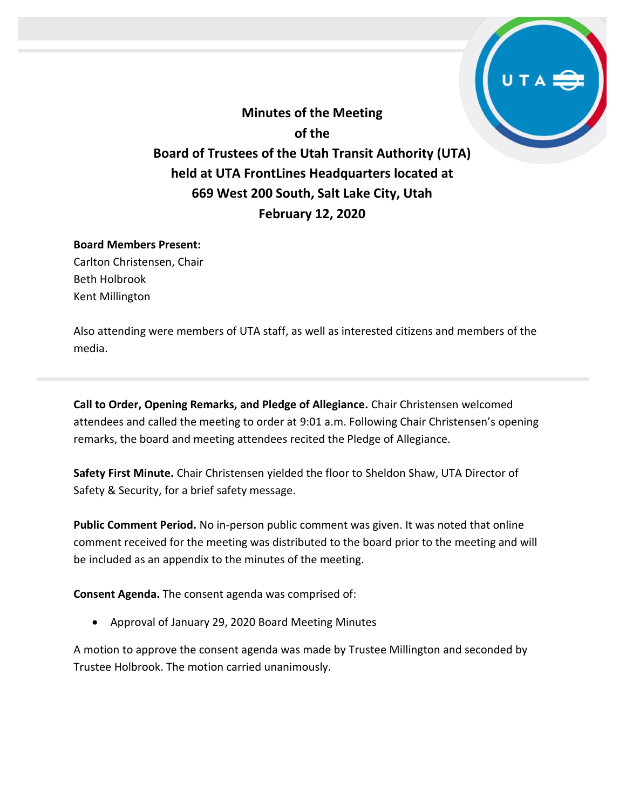**Minutes of the Meeting of the Board of Trustees of the Utah Transit Authority (UTA) held at UTA FrontLines Headquarters located at 669 West 200 South, Salt Lake City, Utah February 12, 2020**

### **Board Members Present:**

Carlton Christensen, Chair Beth Holbrook Kent Millington

Also attending were members of UTA staff, as well as interested citizens and members of the media.

**Call to Order, Opening Remarks, and Pledge of Allegiance.** Chair Christensen welcomed attendees and called the meeting to order at 9:01 a.m. Following Chair Christensen's opening remarks, the board and meeting attendees recited the Pledge of Allegiance.

**Safety First Minute.** Chair Christensen yielded the floor to Sheldon Shaw, UTA Director of Safety & Security, for a brief safety message.

**Public Comment Period.** No in-person public comment was given. It was noted that online comment received for the meeting was distributed to the board prior to the meeting and will be included as an appendix to the minutes of the meeting.

**Consent Agenda.** The consent agenda was comprised of:

Approval of January 29, 2020 Board Meeting Minutes

A motion to approve the consent agenda was made by Trustee Millington and seconded by Trustee Holbrook. The motion carried unanimously.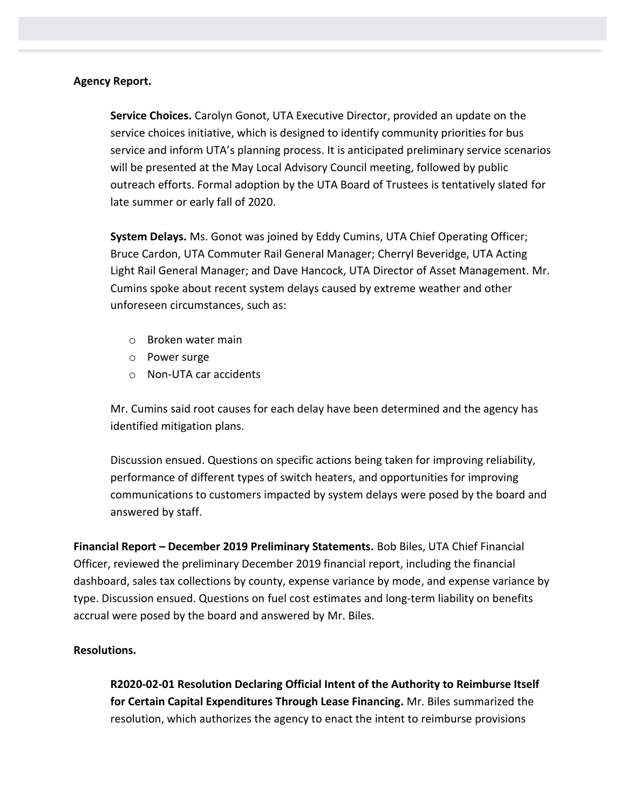## **Agency Report.**

**Service Choices.** Carolyn Gonot, UTA Executive Director, provided an update on the service choices initiative, which is designed to identify community priorities for bus service and inform UTA's planning process. It is anticipated preliminary service scenarios will be presented at the May Local Advisory Council meeting, followed by public outreach efforts. Formal adoption by the UTA Board of Trustees is tentatively slated for late summer or early fall of 2020.

**System Delays.** Ms. Gonot was joined by Eddy Cumins, UTA Chief Operating Officer; Bruce Cardon, UTA Commuter Rail General Manager; Cherryl Beveridge, UTA Acting Light Rail General Manager; and Dave Hancock, UTA Director of Asset Management. Mr. Cumins spoke about recent system delays caused by extreme weather and other unforeseen circumstances, such as:

- o Broken water main
- o Power surge
- o Non-UTA car accidents

Mr. Cumins said root causes for each delay have been determined and the agency has identified mitigation plans.

Discussion ensued. Questions on specific actions being taken for improving reliability, performance of different types of switch heaters, and opportunities for improving communications to customers impacted by system delays were posed by the board and answered by staff.

**Financial Report – December 2019 Preliminary Statements.** Bob Biles, UTA Chief Financial Officer, reviewed the preliminary December 2019 financial report, including the financial dashboard, sales tax collections by county, expense variance by mode, and expense variance by type. Discussion ensued. Questions on fuel cost estimates and long-term liability on benefits accrual were posed by the board and answered by Mr. Biles.

### **Resolutions.**

**R2020-02-01 Resolution Declaring Official Intent of the Authority to Reimburse Itself for Certain Capital Expenditures Through Lease Financing.** Mr. Biles summarized the resolution, which authorizes the agency to enact the intent to reimburse provisions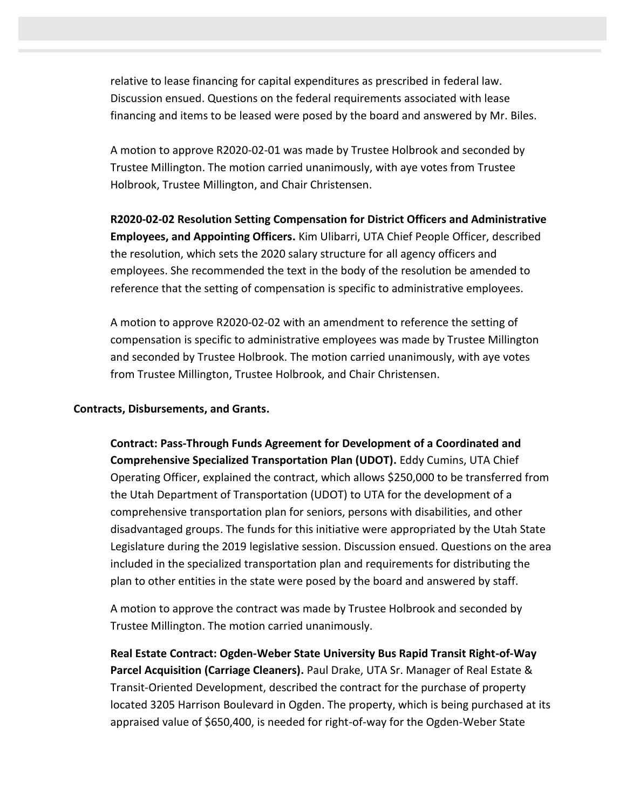relative to lease financing for capital expenditures as prescribed in federal law. Discussion ensued. Questions on the federal requirements associated with lease financing and items to be leased were posed by the board and answered by Mr. Biles.

A motion to approve R2020-02-01 was made by Trustee Holbrook and seconded by Trustee Millington. The motion carried unanimously, with aye votes from Trustee Holbrook, Trustee Millington, and Chair Christensen.

**R2020-02-02 Resolution Setting Compensation for District Officers and Administrative Employees, and Appointing Officers.** Kim Ulibarri, UTA Chief People Officer, described the resolution, which sets the 2020 salary structure for all agency officers and employees. She recommended the text in the body of the resolution be amended to reference that the setting of compensation is specific to administrative employees.

A motion to approve R2020-02-02 with an amendment to reference the setting of compensation is specific to administrative employees was made by Trustee Millington and seconded by Trustee Holbrook. The motion carried unanimously, with aye votes from Trustee Millington, Trustee Holbrook, and Chair Christensen.

### **Contracts, Disbursements, and Grants.**

**Contract: Pass-Through Funds Agreement for Development of a Coordinated and Comprehensive Specialized Transportation Plan (UDOT).** Eddy Cumins, UTA Chief Operating Officer, explained the contract, which allows \$250,000 to be transferred from the Utah Department of Transportation (UDOT) to UTA for the development of a comprehensive transportation plan for seniors, persons with disabilities, and other disadvantaged groups. The funds for this initiative were appropriated by the Utah State Legislature during the 2019 legislative session. Discussion ensued. Questions on the area included in the specialized transportation plan and requirements for distributing the plan to other entities in the state were posed by the board and answered by staff.

A motion to approve the contract was made by Trustee Holbrook and seconded by Trustee Millington. The motion carried unanimously.

**Real Estate Contract: Ogden-Weber State University Bus Rapid Transit Right-of-Way Parcel Acquisition (Carriage Cleaners).** Paul Drake, UTA Sr. Manager of Real Estate & Transit-Oriented Development, described the contract for the purchase of property located 3205 Harrison Boulevard in Ogden. The property, which is being purchased at its appraised value of \$650,400, is needed for right-of-way for the Ogden-Weber State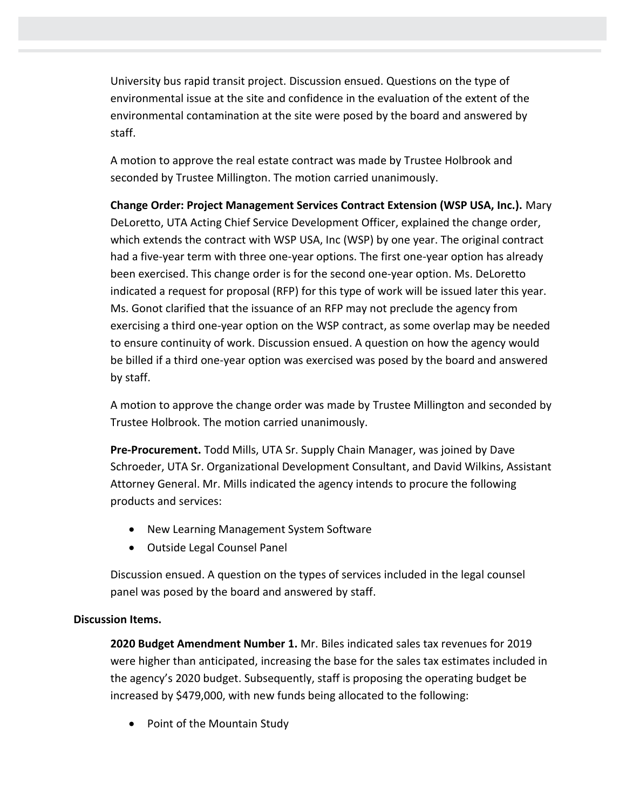University bus rapid transit project. Discussion ensued. Questions on the type of environmental issue at the site and confidence in the evaluation of the extent of the environmental contamination at the site were posed by the board and answered by staff.

A motion to approve the real estate contract was made by Trustee Holbrook and seconded by Trustee Millington. The motion carried unanimously.

**Change Order: Project Management Services Contract Extension (WSP USA, Inc.).** Mary DeLoretto, UTA Acting Chief Service Development Officer, explained the change order, which extends the contract with WSP USA, Inc (WSP) by one year. The original contract had a five-year term with three one-year options. The first one-year option has already been exercised. This change order is for the second one-year option. Ms. DeLoretto indicated a request for proposal (RFP) for this type of work will be issued later this year. Ms. Gonot clarified that the issuance of an RFP may not preclude the agency from exercising a third one-year option on the WSP contract, as some overlap may be needed to ensure continuity of work. Discussion ensued. A question on how the agency would be billed if a third one-year option was exercised was posed by the board and answered by staff.

A motion to approve the change order was made by Trustee Millington and seconded by Trustee Holbrook. The motion carried unanimously.

**Pre-Procurement.** Todd Mills, UTA Sr. Supply Chain Manager, was joined by Dave Schroeder, UTA Sr. Organizational Development Consultant, and David Wilkins, Assistant Attorney General. Mr. Mills indicated the agency intends to procure the following products and services:

- New Learning Management System Software
- Outside Legal Counsel Panel

Discussion ensued. A question on the types of services included in the legal counsel panel was posed by the board and answered by staff.

## **Discussion Items.**

**2020 Budget Amendment Number 1.** Mr. Biles indicated sales tax revenues for 2019 were higher than anticipated, increasing the base for the sales tax estimates included in the agency's 2020 budget. Subsequently, staff is proposing the operating budget be increased by \$479,000, with new funds being allocated to the following:

• Point of the Mountain Study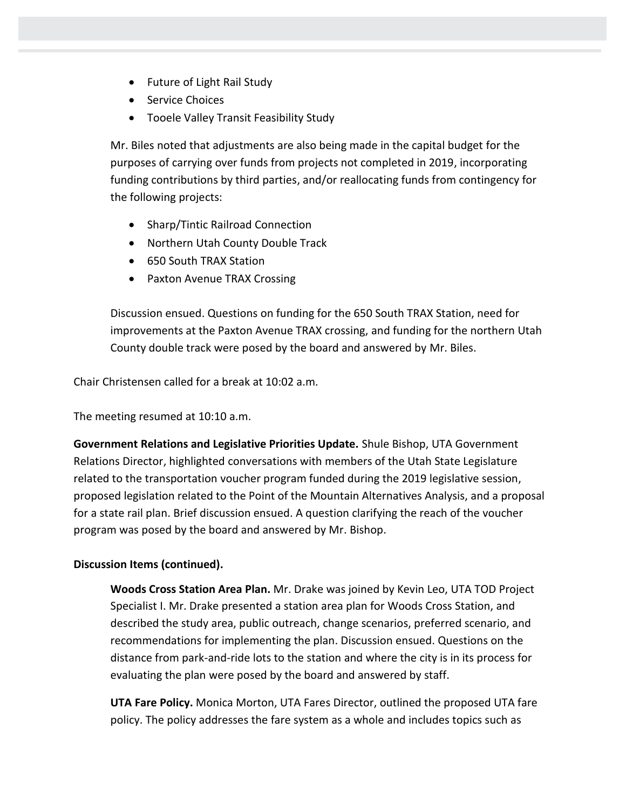- Future of Light Rail Study
- Service Choices
- Tooele Valley Transit Feasibility Study

Mr. Biles noted that adjustments are also being made in the capital budget for the purposes of carrying over funds from projects not completed in 2019, incorporating funding contributions by third parties, and/or reallocating funds from contingency for the following projects:

- Sharp/Tintic Railroad Connection
- Northern Utah County Double Track
- 650 South TRAX Station
- Paxton Avenue TRAX Crossing

Discussion ensued. Questions on funding for the 650 South TRAX Station, need for improvements at the Paxton Avenue TRAX crossing, and funding for the northern Utah County double track were posed by the board and answered by Mr. Biles.

Chair Christensen called for a break at 10:02 a.m.

The meeting resumed at 10:10 a.m.

**Government Relations and Legislative Priorities Update.** Shule Bishop, UTA Government Relations Director, highlighted conversations with members of the Utah State Legislature related to the transportation voucher program funded during the 2019 legislative session, proposed legislation related to the Point of the Mountain Alternatives Analysis, and a proposal for a state rail plan. Brief discussion ensued. A question clarifying the reach of the voucher program was posed by the board and answered by Mr. Bishop.

## **Discussion Items (continued).**

**Woods Cross Station Area Plan.** Mr. Drake was joined by Kevin Leo, UTA TOD Project Specialist I. Mr. Drake presented a station area plan for Woods Cross Station, and described the study area, public outreach, change scenarios, preferred scenario, and recommendations for implementing the plan. Discussion ensued. Questions on the distance from park-and-ride lots to the station and where the city is in its process for evaluating the plan were posed by the board and answered by staff.

**UTA Fare Policy.** Monica Morton, UTA Fares Director, outlined the proposed UTA fare policy. The policy addresses the fare system as a whole and includes topics such as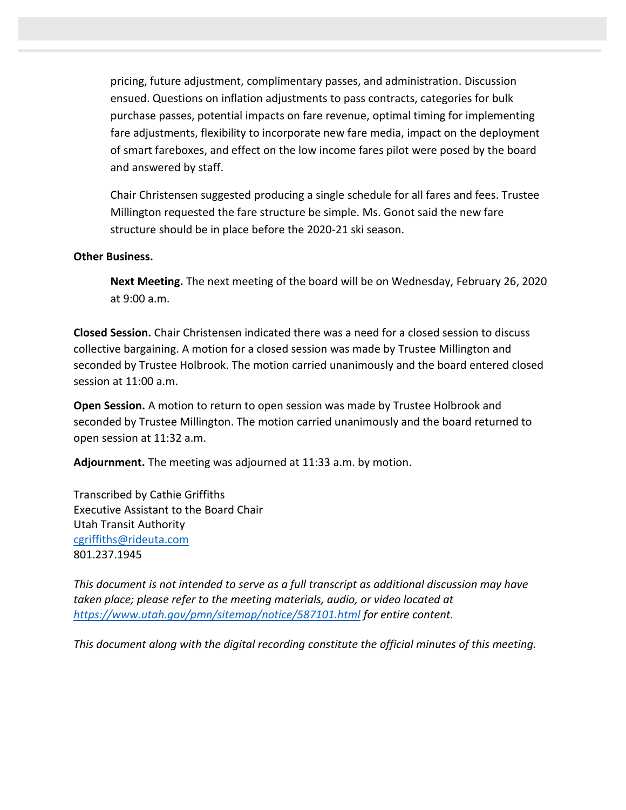pricing, future adjustment, complimentary passes, and administration. Discussion ensued. Questions on inflation adjustments to pass contracts, categories for bulk purchase passes, potential impacts on fare revenue, optimal timing for implementing fare adjustments, flexibility to incorporate new fare media, impact on the deployment of smart fareboxes, and effect on the low income fares pilot were posed by the board and answered by staff.

Chair Christensen suggested producing a single schedule for all fares and fees. Trustee Millington requested the fare structure be simple. Ms. Gonot said the new fare structure should be in place before the 2020-21 ski season.

## **Other Business.**

**Next Meeting.** The next meeting of the board will be on Wednesday, February 26, 2020 at 9:00 a.m.

**Closed Session.** Chair Christensen indicated there was a need for a closed session to discuss collective bargaining. A motion for a closed session was made by Trustee Millington and seconded by Trustee Holbrook. The motion carried unanimously and the board entered closed session at 11:00 a.m.

**Open Session.** A motion to return to open session was made by Trustee Holbrook and seconded by Trustee Millington. The motion carried unanimously and the board returned to open session at 11:32 a.m.

**Adjournment.** The meeting was adjourned at 11:33 a.m. by motion.

Transcribed by Cathie Griffiths Executive Assistant to the Board Chair Utah Transit Authority [cgriffiths@rideuta.com](mailto:cgriffiths@rideuta.com) 801.237.1945

*This document is not intended to serve as a full transcript as additional discussion may have taken place; please refer to the meeting materials, audio, or video located at <https://www.utah.gov/pmn/sitemap/notice/587101.html> for entire content.*

*This document along with the digital recording constitute the official minutes of this meeting.*